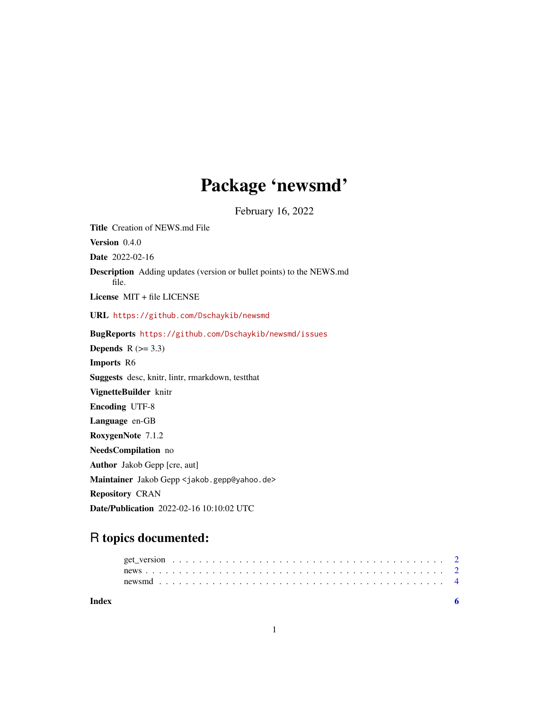## Package 'newsmd'

February 16, 2022

Title Creation of NEWS.md File Version 0.4.0 Date 2022-02-16 Description Adding updates (version or bullet points) to the NEWS.md file. License MIT + file LICENSE URL <https://github.com/Dschaykib/newsmd> BugReports <https://github.com/Dschaykib/newsmd/issues> Depends  $R$  ( $> = 3.3$ ) Imports R6 Suggests desc, knitr, lintr, rmarkdown, testthat VignetteBuilder knitr Encoding UTF-8 Language en-GB RoxygenNote 7.1.2 NeedsCompilation no Author Jakob Gepp [cre, aut] Maintainer Jakob Gepp <jakob.gepp@yahoo.de> Repository CRAN Date/Publication 2022-02-16 10:10:02 UTC

## R topics documented:

| Index |  |  |  |  |  |  |  |  |  |  |  |  |  |  |  |  |  |  |  |
|-------|--|--|--|--|--|--|--|--|--|--|--|--|--|--|--|--|--|--|--|
|       |  |  |  |  |  |  |  |  |  |  |  |  |  |  |  |  |  |  |  |
|       |  |  |  |  |  |  |  |  |  |  |  |  |  |  |  |  |  |  |  |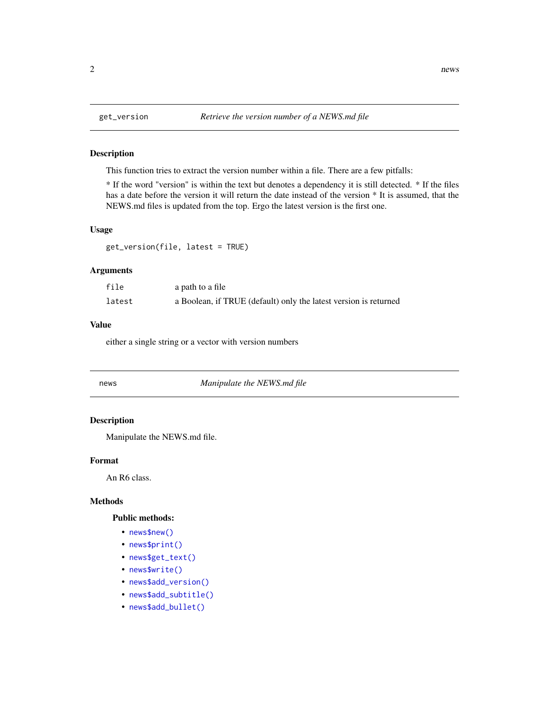### Description

This function tries to extract the version number within a file. There are a few pitfalls:

\* If the word "version" is within the text but denotes a dependency it is still detected. \* If the files has a date before the version it will return the date instead of the version \* It is assumed, that the NEWS.md files is updated from the top. Ergo the latest version is the first one.

#### Usage

get\_version(file, latest = TRUE)

## Arguments

| file   | a path to a file                                                 |
|--------|------------------------------------------------------------------|
| latest | a Boolean, if TRUE (default) only the latest version is returned |

## Value

either a single string or a vector with version numbers

## news *Manipulate the NEWS.md file*

### Description

Manipulate the NEWS.md file.

## Format

An R6 class.

#### Methods

## Public methods:

- [news\\$new\(\)](#page-2-0)
- [news\\$print\(\)](#page-2-1)
- [news\\$get\\_text\(\)](#page-2-2)
- [news\\$write\(\)](#page-2-3)
- [news\\$add\\_version\(\)](#page-2-4)
- [news\\$add\\_subtitle\(\)](#page-2-5)
- [news\\$add\\_bullet\(\)](#page-2-6)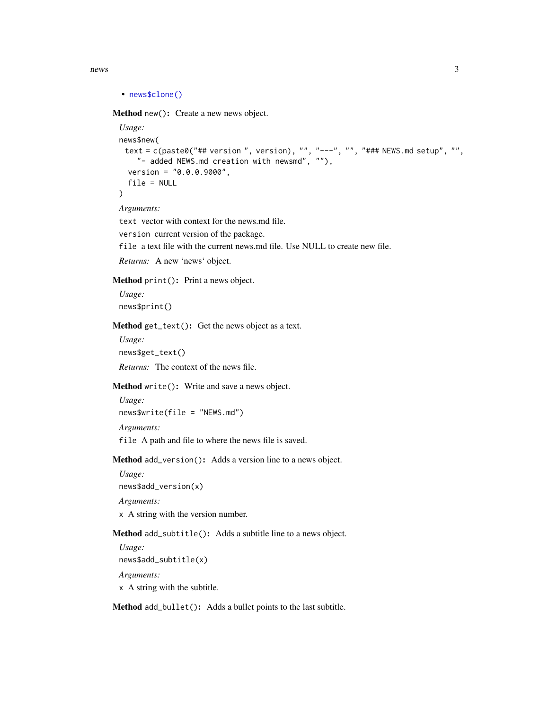```
• news$clone()
```
<span id="page-2-0"></span>Method new(): Create a new news object.

```
Usage:
news$new(
 text = c(paste0("## version ", version), "", "---", "", "### NEWS.md setup", "",
    "- added NEWS.md creation with newsmd", ""),
  version = "0.0.0.9000",
  file = NULL
)
```
*Arguments:*

text vector with context for the news.md file.

version current version of the package.

file a text file with the current news.md file. Use NULL to create new file.

```
Returns: A new 'news' object.
```
<span id="page-2-1"></span>Method print(): Print a news object.

*Usage:* news\$print()

<span id="page-2-2"></span>Method get\_text(): Get the news object as a text.

*Usage:* news\$get\_text() *Returns:* The context of the news file.

<span id="page-2-3"></span>Method write(): Write and save a news object.

```
Usage:
news$write(file = "NEWS.md")
Arguments:
file A path and file to where the news file is saved.
```
<span id="page-2-4"></span>Method add\_version(): Adds a version line to a news object.

*Usage:* news\$add\_version(x)

*Arguments:*

x A string with the version number.

<span id="page-2-5"></span>Method add\_subtitle(): Adds a subtitle line to a news object.

*Usage:* news\$add\_subtitle(x) *Arguments:* x A string with the subtitle.

<span id="page-2-6"></span>Method add\_bullet(): Adds a bullet points to the last subtitle.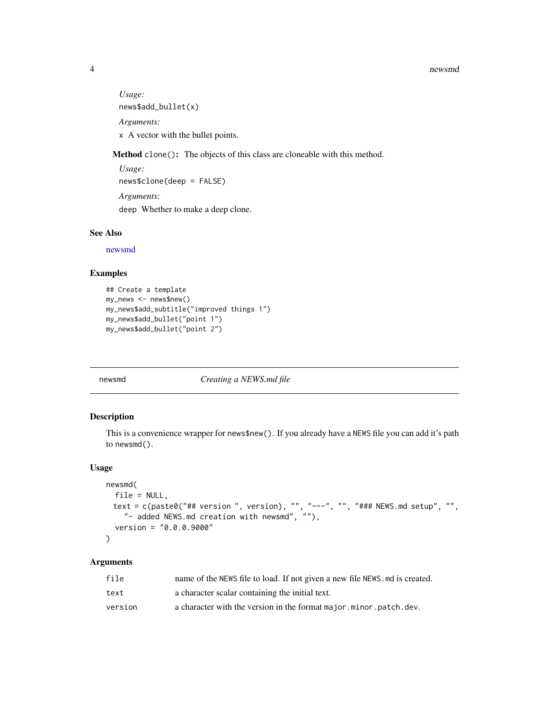#### 4 newsmd

*Usage:* news\$add\_bullet(x) *Arguments:* x A vector with the bullet points.

<span id="page-3-1"></span>Method clone(): The objects of this class are cloneable with this method.

```
Usage:
news$clone(deep = FALSE)
Arguments:
deep Whether to make a deep clone.
```
## See Also

[newsmd](#page-3-2)

## Examples

```
## Create a template
my_news <- news$new()
my_news$add_subtitle("improved things 1")
my_news$add_bullet("point 1")
my_news$add_bullet("point 2")
```
## <span id="page-3-2"></span>newsmd *Creating a NEWS.md file*

## Description

This is a convenience wrapper for news\$new(). If you already have a NEWS file you can add it's path to newsmd().

## Usage

```
newsmd(
 file = NULL,
 text = c(paste0("## version ", version), "", "---", "", "### NEWS.md setup", "",
    "- added NEWS.md creation with newsmd", ""),
  version = "0.0.0.9000"
)
```
## Arguments

| file    | name of the NEWS file to load. If not given a new file NEWS . md is created. |
|---------|------------------------------------------------------------------------------|
| text    | a character scalar containing the initial text.                              |
| version | a character with the version in the format major minor patch.dev.            |

<span id="page-3-0"></span>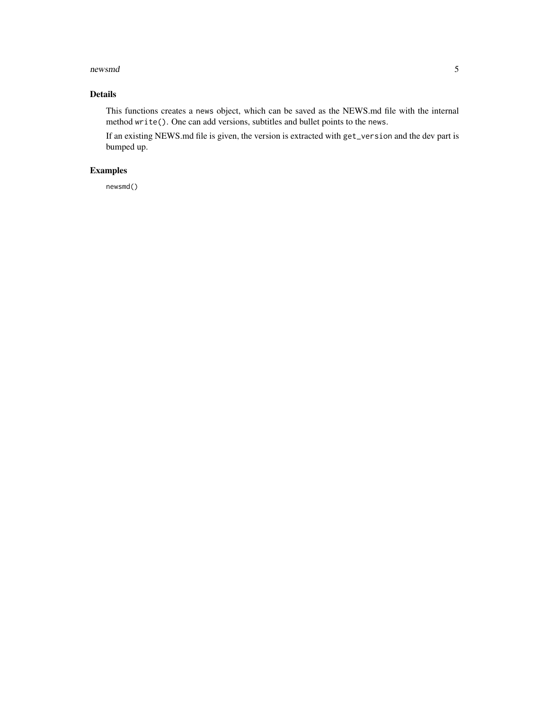#### newsmd 5

## Details

This functions creates a news object, which can be saved as the NEWS.md file with the internal method write(). One can add versions, subtitles and bullet points to the news.

If an existing NEWS.md file is given, the version is extracted with get\_version and the dev part is bumped up.

## Examples

newsmd()